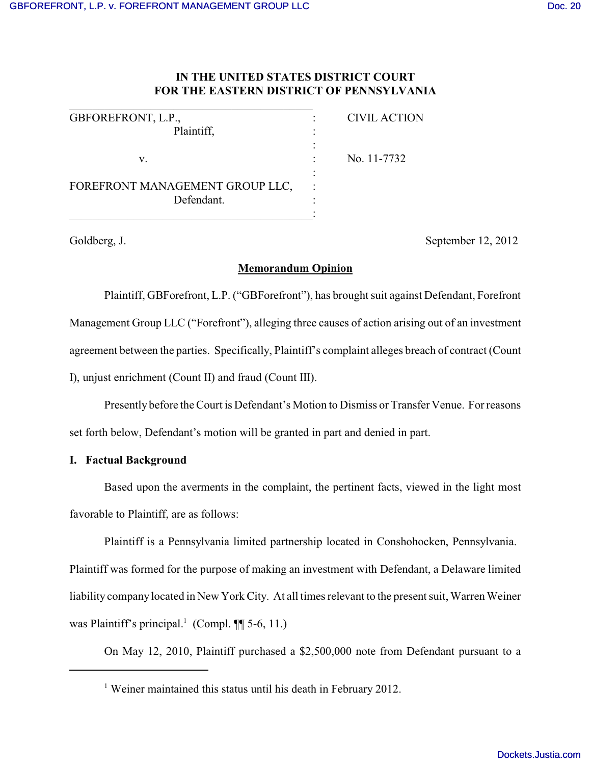# **IN THE UNITED STATES DISTRICT COURT FOR THE EASTERN DISTRICT OF PENNSYLVANIA**

| GBFOREFRONT, L.P.,                            | <b>CIVIL ACTION</b> |
|-----------------------------------------------|---------------------|
| Plaintiff,                                    |                     |
| V.                                            | No. 11-7732         |
| FOREFRONT MANAGEMENT GROUP LLC,<br>Defendant. |                     |
|                                               |                     |

Goldberg, J. September 12, 2012

## **Memorandum Opinion**

Plaintiff, GBForefront, L.P. ("GBForefront"), has brought suit against Defendant, Forefront Management Group LLC ("Forefront"), alleging three causes of action arising out of an investment agreement between the parties. Specifically, Plaintiff's complaint alleges breach of contract (Count I), unjust enrichment (Count II) and fraud (Count III).

Presently before the Court is Defendant's Motion to Dismiss or Transfer Venue. Forreasons

set forth below, Defendant's motion will be granted in part and denied in part.

## **I. Factual Background**

Based upon the averments in the complaint, the pertinent facts, viewed in the light most favorable to Plaintiff, are as follows:

Plaintiff is a Pennsylvania limited partnership located in Conshohocken, Pennsylvania. Plaintiff was formed for the purpose of making an investment with Defendant, a Delaware limited liability companylocated in New York City. At all times relevant to the present suit, Warren Weiner was Plaintiff's principal.<sup>1</sup> (Compl.  $\P$ [ 5-6, 11.)

On May 12, 2010, Plaintiff purchased a \$2,500,000 note from Defendant pursuant to a

<sup>&</sup>lt;sup>1</sup> Weiner maintained this status until his death in February 2012.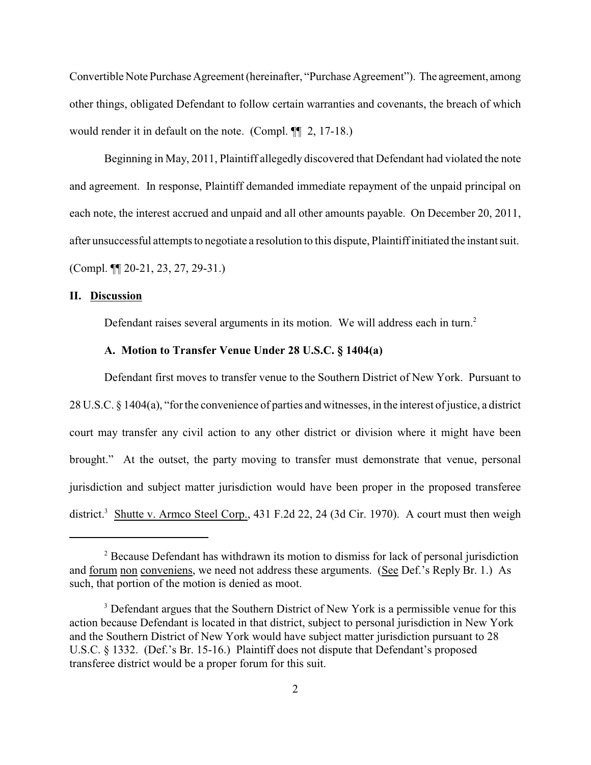Convertible Note Purchase Agreement (hereinafter, "Purchase Agreement"). The agreement, among other things, obligated Defendant to follow certain warranties and covenants, the breach of which would render it in default on the note. (Compl. ¶¶ 2, 17-18.)

Beginning in May, 2011, Plaintiff allegedly discovered that Defendant had violated the note and agreement. In response, Plaintiff demanded immediate repayment of the unpaid principal on each note, the interest accrued and unpaid and all other amounts payable. On December 20, 2011, after unsuccessful attempts to negotiate a resolution to this dispute, Plaintiff initiated the instant suit. (Compl. ¶¶ 20-21, 23, 27, 29-31.)

#### **II. Discussion**

Defendant raises several arguments in its motion. We will address each in turn.<sup>2</sup>

## **A. Motion to Transfer Venue Under 28 U.S.C. § 1404(a)**

Defendant first moves to transfer venue to the Southern District of New York. Pursuant to 28 U.S.C. § 1404(a), "forthe convenience of parties and witnesses, in the interest of justice, a district court may transfer any civil action to any other district or division where it might have been brought." At the outset, the party moving to transfer must demonstrate that venue, personal jurisdiction and subject matter jurisdiction would have been proper in the proposed transferee district.<sup>3</sup> Shutte v. Armco Steel Corp., 431 F.2d 22, 24 (3d Cir. 1970). A court must then weigh

<sup>&</sup>lt;sup>2</sup> Because Defendant has withdrawn its motion to dismiss for lack of personal jurisdiction and forum non conveniens, we need not address these arguments. (See Def.'s Reply Br. 1.) As such, that portion of the motion is denied as moot.

<sup>&</sup>lt;sup>3</sup> Defendant argues that the Southern District of New York is a permissible venue for this action because Defendant is located in that district, subject to personal jurisdiction in New York and the Southern District of New York would have subject matter jurisdiction pursuant to 28 U.S.C. § 1332. (Def.'s Br. 15-16.) Plaintiff does not dispute that Defendant's proposed transferee district would be a proper forum for this suit.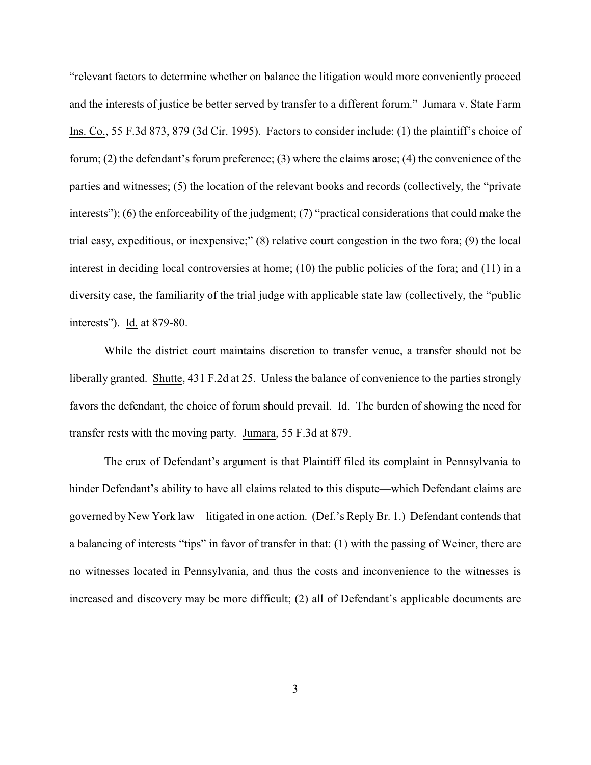"relevant factors to determine whether on balance the litigation would more conveniently proceed and the interests of justice be better served by transfer to a different forum." Jumara v. State Farm Ins. Co., 55 F.3d 873, 879 (3d Cir. 1995). Factors to consider include: (1) the plaintiff's choice of forum; (2) the defendant's forum preference; (3) where the claims arose; (4) the convenience of the parties and witnesses; (5) the location of the relevant books and records (collectively, the "private interests"); (6) the enforceability of the judgment; (7) "practical considerations that could make the trial easy, expeditious, or inexpensive;" (8) relative court congestion in the two fora; (9) the local interest in deciding local controversies at home; (10) the public policies of the fora; and (11) in a diversity case, the familiarity of the trial judge with applicable state law (collectively, the "public interests"). Id. at 879-80.

While the district court maintains discretion to transfer venue, a transfer should not be liberally granted. Shutte, 431 F.2d at 25. Unless the balance of convenience to the parties strongly favors the defendant, the choice of forum should prevail. Id. The burden of showing the need for transfer rests with the moving party. Jumara, 55 F.3d at 879.

The crux of Defendant's argument is that Plaintiff filed its complaint in Pennsylvania to hinder Defendant's ability to have all claims related to this dispute—which Defendant claims are governed by New York law—litigated in one action. (Def.'s ReplyBr. 1.) Defendant contends that a balancing of interests "tips" in favor of transfer in that: (1) with the passing of Weiner, there are no witnesses located in Pennsylvania, and thus the costs and inconvenience to the witnesses is increased and discovery may be more difficult; (2) all of Defendant's applicable documents are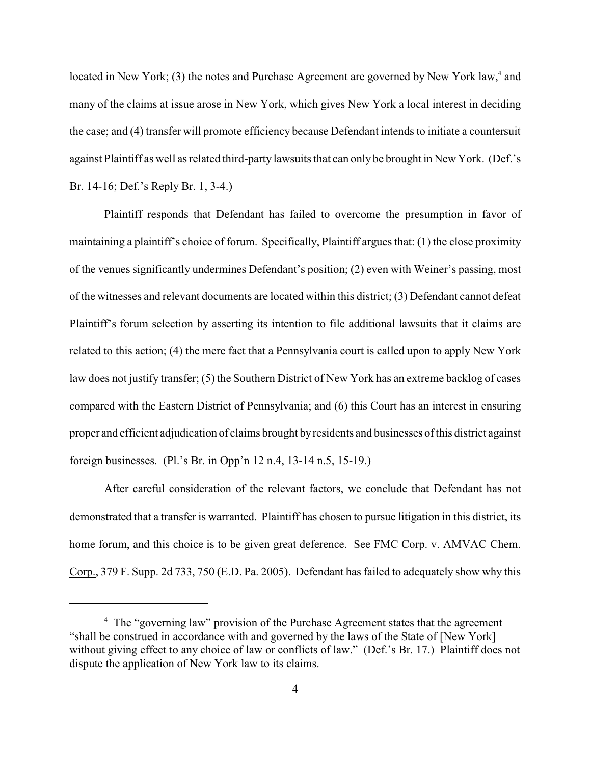located in New York;  $(3)$  the notes and Purchase Agreement are governed by New York law,<sup>4</sup> and many of the claims at issue arose in New York, which gives New York a local interest in deciding the case; and (4) transfer will promote efficiency because Defendant intends to initiate a countersuit against Plaintiff as well as related third-party lawsuits that can only be brought in New York. (Def.'s Br. 14-16; Def.'s Reply Br. 1, 3-4.)

Plaintiff responds that Defendant has failed to overcome the presumption in favor of maintaining a plaintiff's choice of forum. Specifically, Plaintiff argues that: (1) the close proximity of the venues significantly undermines Defendant's position; (2) even with Weiner's passing, most of the witnesses and relevant documents are located within this district; (3) Defendant cannot defeat Plaintiff's forum selection by asserting its intention to file additional lawsuits that it claims are related to this action; (4) the mere fact that a Pennsylvania court is called upon to apply New York law does not justify transfer; (5) the Southern District of New York has an extreme backlog of cases compared with the Eastern District of Pennsylvania; and (6) this Court has an interest in ensuring proper and efficient adjudication of claims brought byresidents and businesses of this district against foreign businesses. (Pl.'s Br. in Opp'n 12 n.4, 13-14 n.5, 15-19.)

After careful consideration of the relevant factors, we conclude that Defendant has not demonstrated that a transfer is warranted. Plaintiff has chosen to pursue litigation in this district, its home forum, and this choice is to be given great deference. See FMC Corp. v. AMVAC Chem. Corp., 379 F. Supp. 2d 733, 750 (E.D. Pa. 2005). Defendant has failed to adequately show why this

<sup>&</sup>lt;sup>4</sup> The "governing law" provision of the Purchase Agreement states that the agreement "shall be construed in accordance with and governed by the laws of the State of [New York] without giving effect to any choice of law or conflicts of law." (Def.'s Br. 17.) Plaintiff does not dispute the application of New York law to its claims.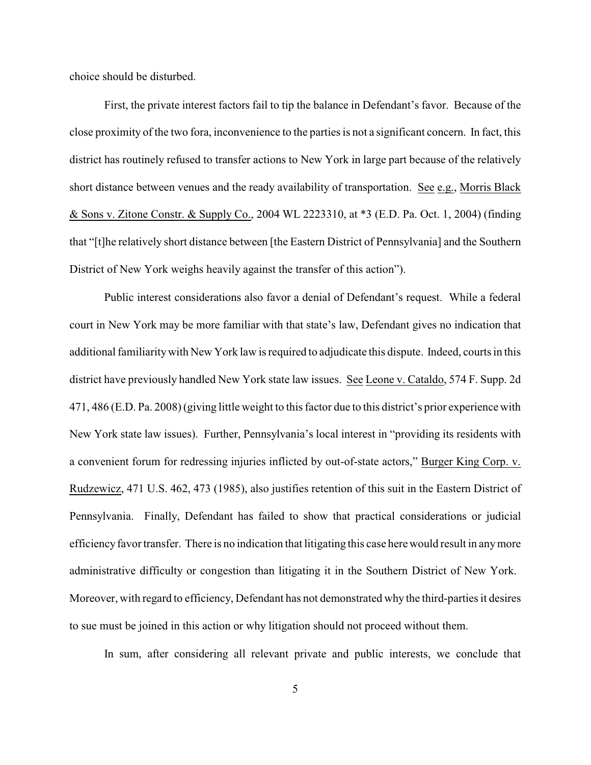choice should be disturbed.

First, the private interest factors fail to tip the balance in Defendant's favor. Because of the close proximity of the two fora, inconvenience to the parties is not a significant concern. In fact, this district has routinely refused to transfer actions to New York in large part because of the relatively short distance between venues and the ready availability of transportation. See e.g., Morris Black & Sons v. Zitone Constr. & Supply Co., 2004 WL 2223310, at \*3 (E.D. Pa. Oct. 1, 2004) (finding that "[t]he relatively short distance between [the Eastern District of Pennsylvania] and the Southern District of New York weighs heavily against the transfer of this action").

Public interest considerations also favor a denial of Defendant's request. While a federal court in New York may be more familiar with that state's law, Defendant gives no indication that additional familiaritywith New York law is required to adjudicate this dispute. Indeed, courts in this district have previously handled New York state law issues. See Leone v. Cataldo, 574 F. Supp. 2d 471, 486 (E.D. Pa. 2008) (giving little weight to this factor due to this district's prior experience with New York state law issues). Further, Pennsylvania's local interest in "providing its residents with a convenient forum for redressing injuries inflicted by out-of-state actors," Burger King Corp. v. Rudzewicz, 471 U.S. 462, 473 (1985), also justifies retention of this suit in the Eastern District of Pennsylvania. Finally, Defendant has failed to show that practical considerations or judicial efficiency favortransfer. There is no indication that litigating this case here would result in anymore administrative difficulty or congestion than litigating it in the Southern District of New York. Moreover, with regard to efficiency, Defendant has not demonstrated why the third-parties it desires to sue must be joined in this action or why litigation should not proceed without them.

In sum, after considering all relevant private and public interests, we conclude that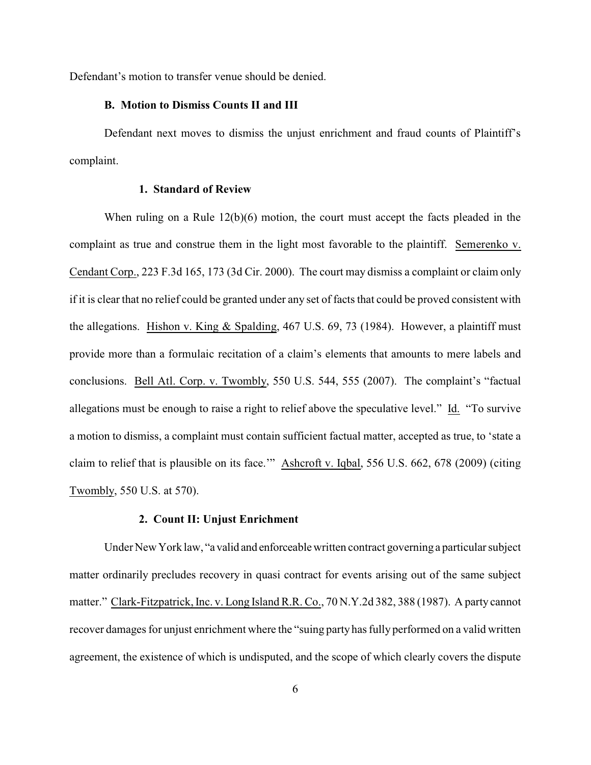Defendant's motion to transfer venue should be denied.

#### **B. Motion to Dismiss Counts II and III**

Defendant next moves to dismiss the unjust enrichment and fraud counts of Plaintiff's complaint.

## **1. Standard of Review**

When ruling on a Rule 12(b)(6) motion, the court must accept the facts pleaded in the complaint as true and construe them in the light most favorable to the plaintiff. Semerenko v. Cendant Corp., 223 F.3d 165, 173 (3d Cir. 2000). The court may dismiss a complaint or claim only if it is clear that no relief could be granted under any set of facts that could be proved consistent with the allegations. Hishon v. King & Spalding, 467 U.S. 69, 73 (1984). However, a plaintiff must provide more than a formulaic recitation of a claim's elements that amounts to mere labels and conclusions. Bell Atl. Corp. v. Twombly, 550 U.S. 544, 555 (2007). The complaint's "factual allegations must be enough to raise a right to relief above the speculative level." Id. "To survive a motion to dismiss, a complaint must contain sufficient factual matter, accepted as true, to 'state a claim to relief that is plausible on its face.'" Ashcroft v. Iqbal, 556 U.S. 662, 678 (2009) (citing Twombly, 550 U.S. at 570).

### **2. Count II: Unjust Enrichment**

Under New York law, "a valid and enforceable written contract governing a particular subject matter ordinarily precludes recovery in quasi contract for events arising out of the same subject matter." Clark-Fitzpatrick, Inc. v. Long Island R.R. Co., 70 N.Y.2d 382, 388 (1987). A party cannot recover damages for unjust enrichment where the "suing party has fully performed on a valid written agreement, the existence of which is undisputed, and the scope of which clearly covers the dispute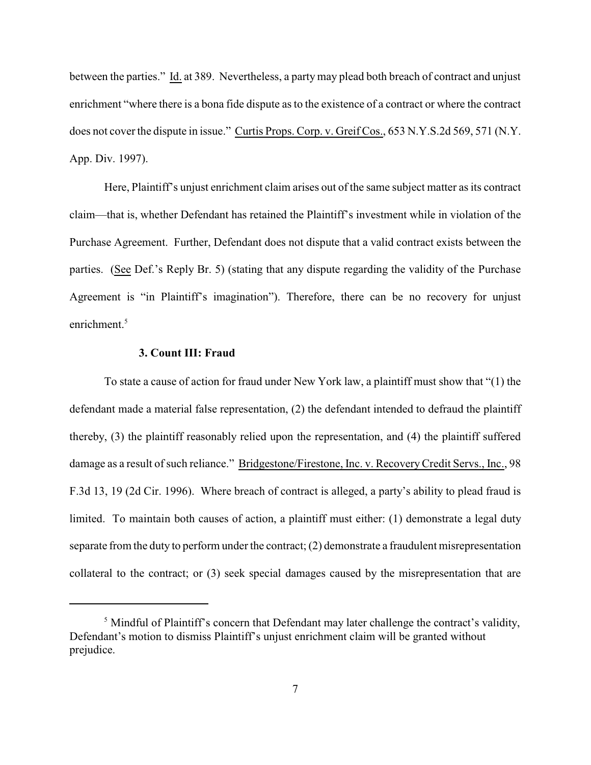between the parties." Id. at 389. Nevertheless, a party may plead both breach of contract and unjust enrichment "where there is a bona fide dispute as to the existence of a contract or where the contract does not cover the dispute in issue." Curtis Props. Corp. v. Greif Cos., 653 N.Y.S.2d 569, 571 (N.Y. App. Div. 1997).

Here, Plaintiff's unjust enrichment claim arises out of the same subject matter as its contract claim—that is, whether Defendant has retained the Plaintiff's investment while in violation of the Purchase Agreement. Further, Defendant does not dispute that a valid contract exists between the parties. (See Def.'s Reply Br. 5) (stating that any dispute regarding the validity of the Purchase Agreement is "in Plaintiff's imagination"). Therefore, there can be no recovery for unjust enrichment.<sup>5</sup>

### **3. Count III: Fraud**

To state a cause of action for fraud under New York law, a plaintiff must show that "(1) the defendant made a material false representation, (2) the defendant intended to defraud the plaintiff thereby, (3) the plaintiff reasonably relied upon the representation, and (4) the plaintiff suffered damage as a result of such reliance." Bridgestone/Firestone, Inc. v. RecoveryCredit Servs., Inc., 98 F.3d 13, 19 (2d Cir. 1996). Where breach of contract is alleged, a party's ability to plead fraud is limited. To maintain both causes of action, a plaintiff must either: (1) demonstrate a legal duty separate from the duty to perform under the contract; (2) demonstrate a fraudulent misrepresentation collateral to the contract; or (3) seek special damages caused by the misrepresentation that are

 $<sup>5</sup>$  Mindful of Plaintiff's concern that Defendant may later challenge the contract's validity,</sup> Defendant's motion to dismiss Plaintiff's unjust enrichment claim will be granted without prejudice.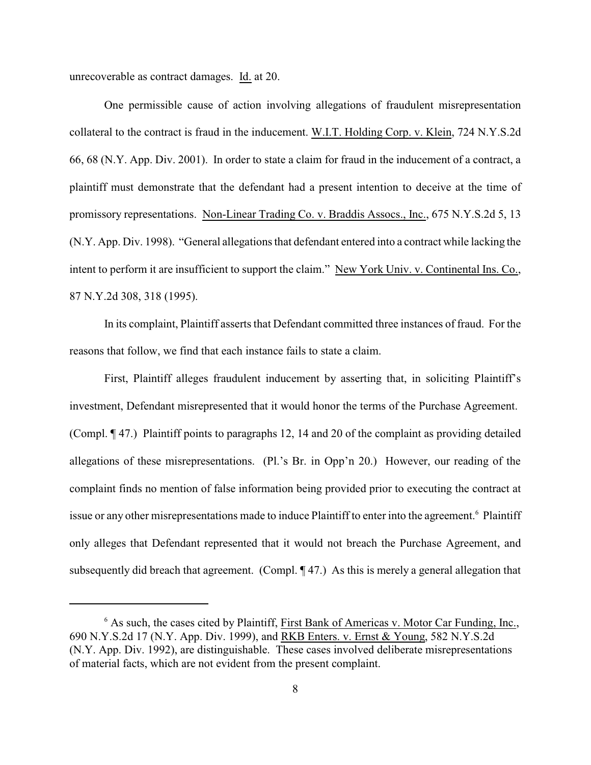unrecoverable as contract damages. Id. at 20.

One permissible cause of action involving allegations of fraudulent misrepresentation collateral to the contract is fraud in the inducement. W.I.T. Holding Corp. v. Klein, 724 N.Y.S.2d 66, 68 (N.Y. App. Div. 2001). In order to state a claim for fraud in the inducement of a contract, a plaintiff must demonstrate that the defendant had a present intention to deceive at the time of promissory representations. Non-Linear Trading Co. v. Braddis Assocs., Inc., 675 N.Y.S.2d 5, 13 (N.Y. App. Div. 1998). "General allegations that defendant entered into a contract while lacking the intent to perform it are insufficient to support the claim." New York Univ. v. Continental Ins. Co., 87 N.Y.2d 308, 318 (1995).

In its complaint, Plaintiff asserts that Defendant committed three instances of fraud. For the reasons that follow, we find that each instance fails to state a claim.

First, Plaintiff alleges fraudulent inducement by asserting that, in soliciting Plaintiff's investment, Defendant misrepresented that it would honor the terms of the Purchase Agreement. (Compl. ¶ 47.) Plaintiff points to paragraphs 12, 14 and 20 of the complaint as providing detailed allegations of these misrepresentations. (Pl.'s Br. in Opp'n 20.) However, our reading of the complaint finds no mention of false information being provided prior to executing the contract at issue or any other misrepresentations made to induce Plaintiff to enter into the agreement.<sup>6</sup> Plaintiff only alleges that Defendant represented that it would not breach the Purchase Agreement, and subsequently did breach that agreement. (Compl. ¶47.) As this is merely a general allegation that

 $6$  As such, the cases cited by Plaintiff, First Bank of Americas v. Motor Car Funding, Inc., 690 N.Y.S.2d 17 (N.Y. App. Div. 1999), and RKB Enters. v. Ernst & Young, 582 N.Y.S.2d (N.Y. App. Div. 1992), are distinguishable. These cases involved deliberate misrepresentations of material facts, which are not evident from the present complaint.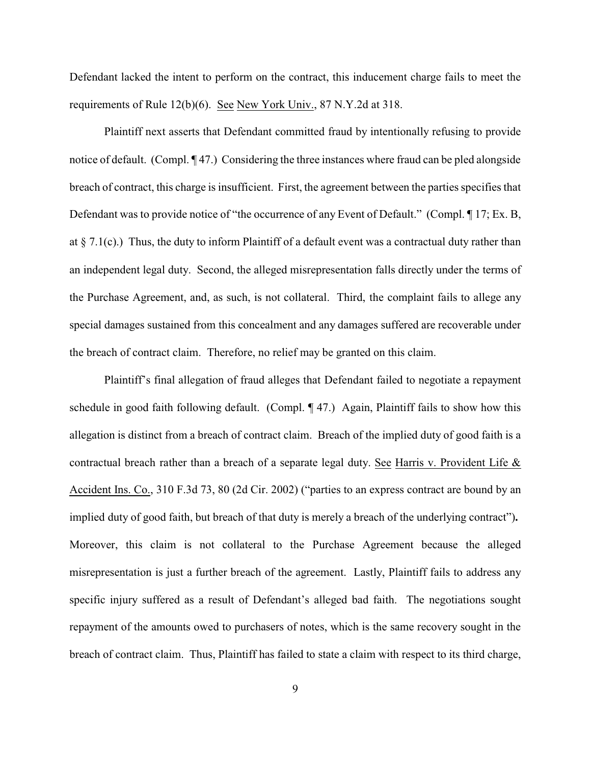Defendant lacked the intent to perform on the contract, this inducement charge fails to meet the requirements of Rule 12(b)(6). See New York Univ., 87 N.Y.2d at 318.

Plaintiff next asserts that Defendant committed fraud by intentionally refusing to provide notice of default. (Compl. ¶ 47.) Considering the three instances where fraud can be pled alongside breach of contract, this charge is insufficient. First, the agreement between the parties specifies that Defendant was to provide notice of "the occurrence of any Event of Default." (Compl. 17; Ex. B, at  $\S$  7.1(c).) Thus, the duty to inform Plaintiff of a default event was a contractual duty rather than an independent legal duty. Second, the alleged misrepresentation falls directly under the terms of the Purchase Agreement, and, as such, is not collateral. Third, the complaint fails to allege any special damages sustained from this concealment and any damages suffered are recoverable under the breach of contract claim. Therefore, no relief may be granted on this claim.

Plaintiff's final allegation of fraud alleges that Defendant failed to negotiate a repayment schedule in good faith following default. (Compl. ¶ 47.) Again, Plaintiff fails to show how this allegation is distinct from a breach of contract claim. Breach of the implied duty of good faith is a contractual breach rather than a breach of a separate legal duty. See Harris v. Provident Life & Accident Ins. Co., 310 F.3d 73, 80 (2d Cir. 2002) ("parties to an express contract are bound by an implied duty of good faith, but breach of that duty is merely a breach of the underlying contract")**.**  Moreover, this claim is not collateral to the Purchase Agreement because the alleged misrepresentation is just a further breach of the agreement. Lastly, Plaintiff fails to address any specific injury suffered as a result of Defendant's alleged bad faith. The negotiations sought repayment of the amounts owed to purchasers of notes, which is the same recovery sought in the breach of contract claim. Thus, Plaintiff has failed to state a claim with respect to its third charge,